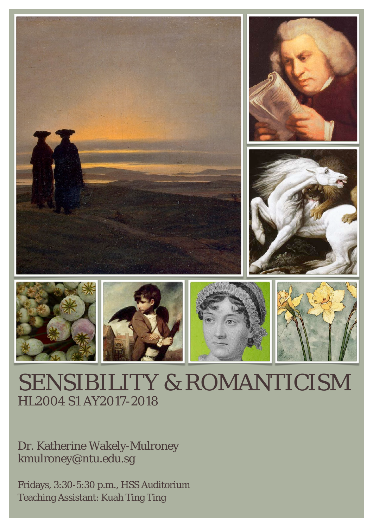

# SENSIBILITY & ROMANTICISM HL2004 S1 AY2017-2018

Dr. Katherine Wakely-Mulroney [kmulroney@ntu.edu.sg](mailto:kmulroney@ntu.edu.sg)

Fridays, 3:30-5:30 p.m., HSS Auditorium Teaching Assistant: Kuah Ting Ting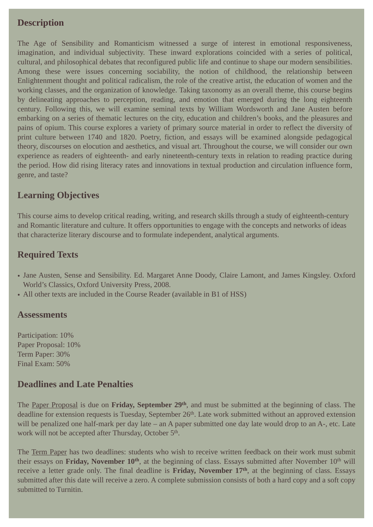# **Description**

The Age of Sensibility and Romanticism witnessed a surge of interest in emotional responsiveness, imagination, and individual subjectivity. These inward explorations coincided with a series of political, cultural, and philosophical debates that reconfigured public life and continue to shape our modern sensibilities. Among these were issues concerning sociability, the notion of childhood, the relationship between Enlightenment thought and political radicalism, the role of the creative artist, the education of women and the working classes, and the organization of knowledge. Taking taxonomy as an overall theme, this course begins by delineating approaches to perception, reading, and emotion that emerged during the long eighteenth century. Following this, we will examine seminal texts by William Wordsworth and Jane Austen before embarking on a series of thematic lectures on the city, education and children's books, and the pleasures and pains of opium. This course explores a variety of primary source material in order to reflect the diversity of print culture between 1740 and 1820. Poetry, fiction, and essays will be examined alongside pedagogical theory, discourses on elocution and aesthetics, and visual art. Throughout the course, we will consider our own experience as readers of eighteenth- and early nineteenth-century texts in relation to reading practice during the period. How did rising literacy rates and innovations in textual production and circulation influence form, genre, and taste?

# **Learning Objectives**

This course aims to develop critical reading, writing, and research skills through a study of eighteenth-century and Romantic literature and culture. It offers opportunities to engage with the concepts and networks of ideas that characterize literary discourse and to formulate independent, analytical arguments.

# **Required Texts**

- Jane Austen, Sense and Sensibility. Ed. Margaret Anne Doody, Claire Lamont, and James Kingsley. Oxford World's Classics, Oxford University Press, 2008.
- All other texts are included in the Course Reader (available in B1 of HSS)

## **Assessments**

Participation: 10% Paper Proposal: 10% Term Paper: 30% Final Exam: 50%

# **Deadlines and Late Penalties**

The Paper Proposal is due on **Friday, September 29th**, and must be submitted at the beginning of class. The deadline for extension requests is Tuesday, September 26<sup>th</sup>. Late work submitted without an approved extension will be penalized one half-mark per day late – an A paper submitted one day late would drop to an A-, etc. Late work will not be accepted after Thursday, October 5<sup>th</sup>.

The Term Paper has two deadlines: students who wish to receive written feedback on their work must submit their essays on **Friday, November 10<sup>th</sup>**, at the beginning of class. Essays submitted after November 10<sup>th</sup> will receive a letter grade only. The final deadline is **Friday, November 17th**, at the beginning of class. Essays submitted after this date will receive a zero. A complete submission consists of both a hard copy and a soft copy submitted to Turnitin.